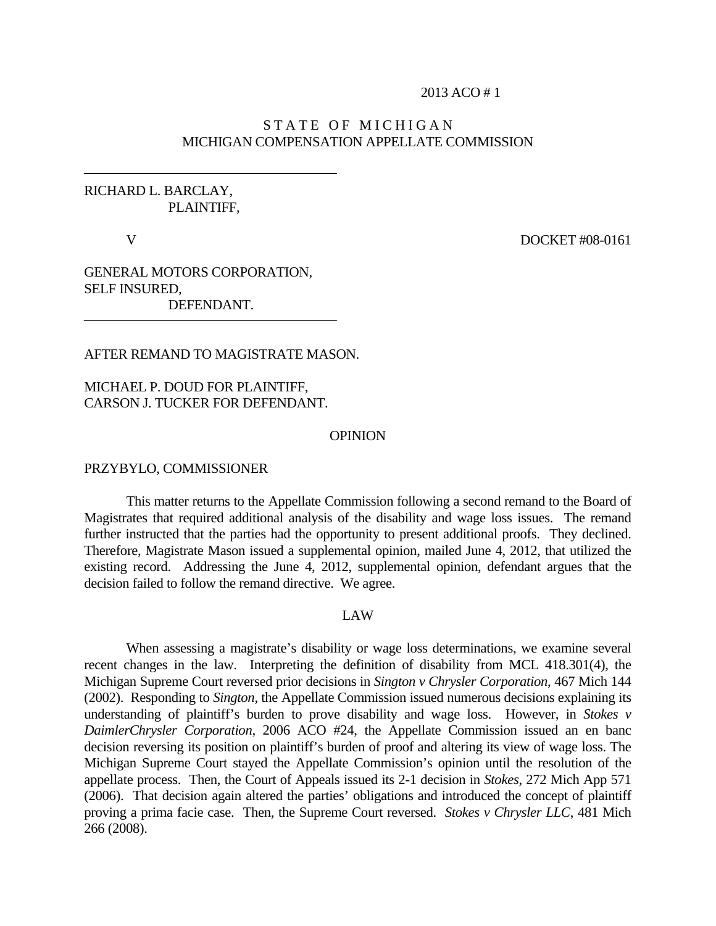#### 2013 ACO # 1

# STATE OF MICHIGAN MICHIGAN COMPENSATION APPELLATE COMMISSION

# RICHARD L. BARCLAY, PLAINTIFF,

V DOCKET #08-0161

GENERAL MOTORS CORPORATION, SELF INSURED, DEFENDANT.

AFTER REMAND TO MAGISTRATE MASON.

MICHAEL P. DOUD FOR PLAINTIFF, CARSON J. TUCKER FOR DEFENDANT.

#### **OPINION**

### PRZYBYLO, COMMISSIONER

This matter returns to the Appellate Commission following a second remand to the Board of Magistrates that required additional analysis of the disability and wage loss issues. The remand further instructed that the parties had the opportunity to present additional proofs. They declined. Therefore, Magistrate Mason issued a supplemental opinion, mailed June 4, 2012, that utilized the existing record. Addressing the June 4, 2012, supplemental opinion, defendant argues that the decision failed to follow the remand directive. We agree.

### LAW

 When assessing a magistrate's disability or wage loss determinations, we examine several recent changes in the law. Interpreting the definition of disability from MCL 418.301(4), the Michigan Supreme Court reversed prior decisions in *Sington v Chrysler Corporation*, 467 Mich 144 (2002). Responding to *Sington*, the Appellate Commission issued numerous decisions explaining its understanding of plaintiff's burden to prove disability and wage loss. However, in *Stokes v DaimlerChrysler Corporation*, 2006 ACO #24, the Appellate Commission issued an en banc decision reversing its position on plaintiff's burden of proof and altering its view of wage loss. The Michigan Supreme Court stayed the Appellate Commission's opinion until the resolution of the appellate process. Then, the Court of Appeals issued its 2-1 decision in *Stokes*, 272 Mich App 571 (2006). That decision again altered the parties' obligations and introduced the concept of plaintiff proving a prima facie case. Then, the Supreme Court reversed. *Stokes v Chrysler LLC*, 481 Mich 266 (2008).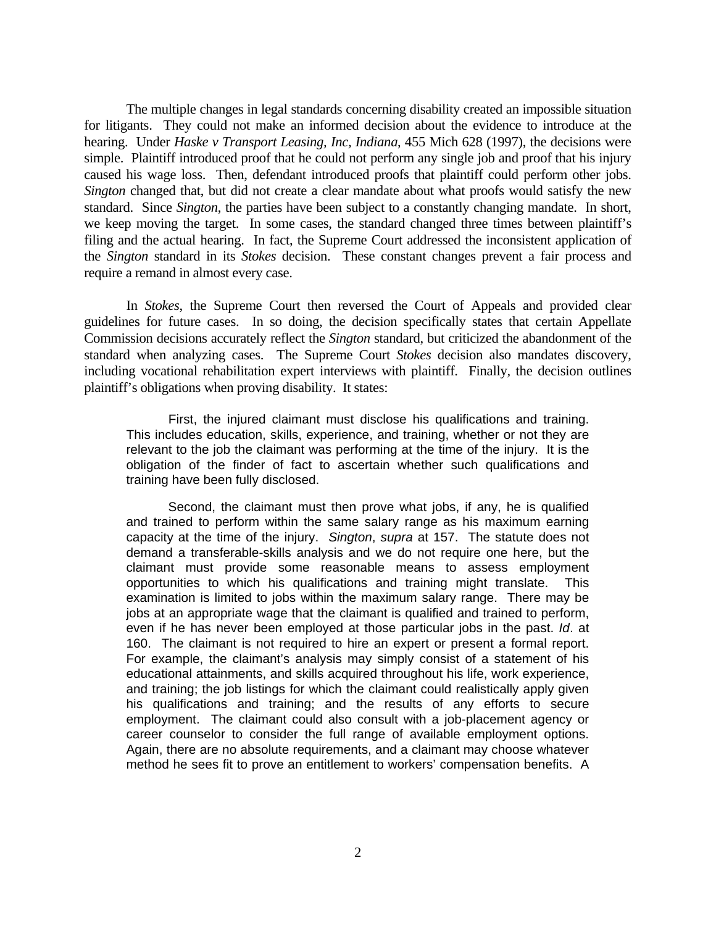The multiple changes in legal standards concerning disability created an impossible situation for litigants. They could not make an informed decision about the evidence to introduce at the hearing. Under *Haske v Transport Leasing, Inc, Indiana*, 455 Mich 628 (1997), the decisions were simple. Plaintiff introduced proof that he could not perform any single job and proof that his injury caused his wage loss. Then, defendant introduced proofs that plaintiff could perform other jobs. *Sington* changed that, but did not create a clear mandate about what proofs would satisfy the new standard. Since *Sington*, the parties have been subject to a constantly changing mandate. In short, we keep moving the target. In some cases, the standard changed three times between plaintiff's filing and the actual hearing. In fact, the Supreme Court addressed the inconsistent application of the *Sington* standard in its *Stokes* decision. These constant changes prevent a fair process and require a remand in almost every case.

 In *Stokes*, the Supreme Court then reversed the Court of Appeals and provided clear guidelines for future cases. In so doing, the decision specifically states that certain Appellate Commission decisions accurately reflect the *Sington* standard, but criticized the abandonment of the standard when analyzing cases. The Supreme Court *Stokes* decision also mandates discovery, including vocational rehabilitation expert interviews with plaintiff. Finally, the decision outlines plaintiff's obligations when proving disability. It states:

First, the injured claimant must disclose his qualifications and training. This includes education, skills, experience, and training, whether or not they are relevant to the job the claimant was performing at the time of the injury. It is the obligation of the finder of fact to ascertain whether such qualifications and training have been fully disclosed.

Second, the claimant must then prove what jobs, if any, he is qualified and trained to perform within the same salary range as his maximum earning capacity at the time of the injury. *Sington*, *supra* at 157. The statute does not demand a transferable-skills analysis and we do not require one here, but the claimant must provide some reasonable means to assess employment opportunities to which his qualifications and training might translate. This examination is limited to jobs within the maximum salary range. There may be jobs at an appropriate wage that the claimant is qualified and trained to perform, even if he has never been employed at those particular jobs in the past. *Id*. at 160. The claimant is not required to hire an expert or present a formal report. For example, the claimant's analysis may simply consist of a statement of his educational attainments, and skills acquired throughout his life, work experience, and training; the job listings for which the claimant could realistically apply given his qualifications and training; and the results of any efforts to secure employment. The claimant could also consult with a job-placement agency or career counselor to consider the full range of available employment options. Again, there are no absolute requirements, and a claimant may choose whatever method he sees fit to prove an entitlement to workers' compensation benefits. A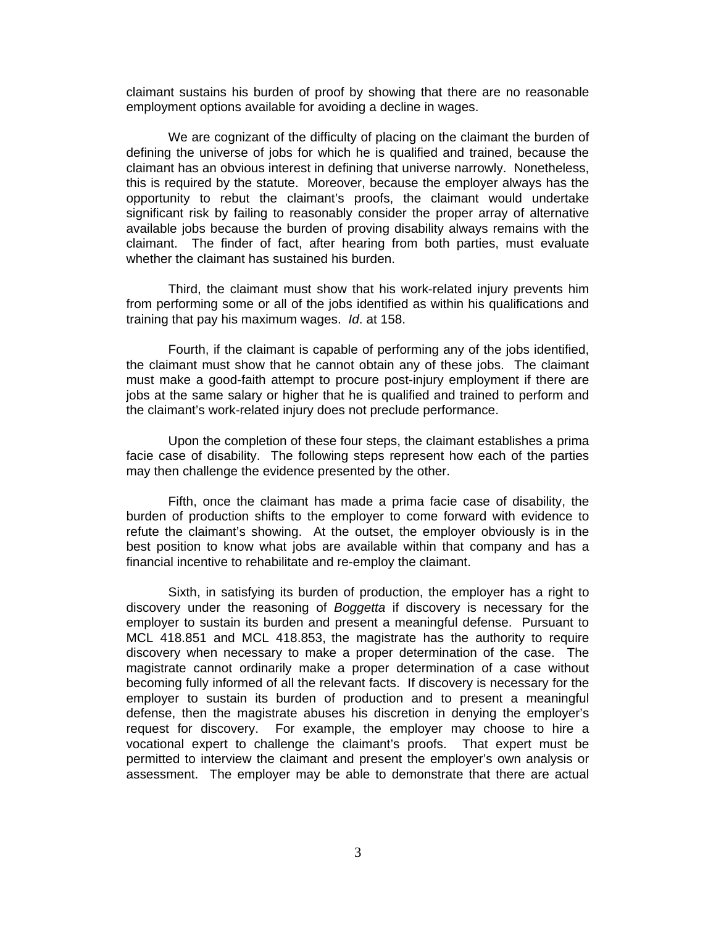claimant sustains his burden of proof by showing that there are no reasonable employment options available for avoiding a decline in wages.

We are cognizant of the difficulty of placing on the claimant the burden of defining the universe of jobs for which he is qualified and trained, because the claimant has an obvious interest in defining that universe narrowly. Nonetheless, this is required by the statute. Moreover, because the employer always has the opportunity to rebut the claimant's proofs, the claimant would undertake significant risk by failing to reasonably consider the proper array of alternative available jobs because the burden of proving disability always remains with the claimant. The finder of fact, after hearing from both parties, must evaluate whether the claimant has sustained his burden.

Third, the claimant must show that his work-related injury prevents him from performing some or all of the jobs identified as within his qualifications and training that pay his maximum wages. *Id*. at 158.

Fourth, if the claimant is capable of performing any of the jobs identified, the claimant must show that he cannot obtain any of these jobs. The claimant must make a good-faith attempt to procure post-injury employment if there are jobs at the same salary or higher that he is qualified and trained to perform and the claimant's work-related injury does not preclude performance.

Upon the completion of these four steps, the claimant establishes a prima facie case of disability. The following steps represent how each of the parties may then challenge the evidence presented by the other.

Fifth, once the claimant has made a prima facie case of disability, the burden of production shifts to the employer to come forward with evidence to refute the claimant's showing. At the outset, the employer obviously is in the best position to know what jobs are available within that company and has a financial incentive to rehabilitate and re-employ the claimant.

Sixth, in satisfying its burden of production, the employer has a right to discovery under the reasoning of *Boggetta* if discovery is necessary for the employer to sustain its burden and present a meaningful defense. Pursuant to MCL 418.851 and MCL 418.853, the magistrate has the authority to require discovery when necessary to make a proper determination of the case. The magistrate cannot ordinarily make a proper determination of a case without becoming fully informed of all the relevant facts. If discovery is necessary for the employer to sustain its burden of production and to present a meaningful defense, then the magistrate abuses his discretion in denying the employer's request for discovery. For example, the employer may choose to hire a vocational expert to challenge the claimant's proofs. That expert must be permitted to interview the claimant and present the employer's own analysis or assessment. The employer may be able to demonstrate that there are actual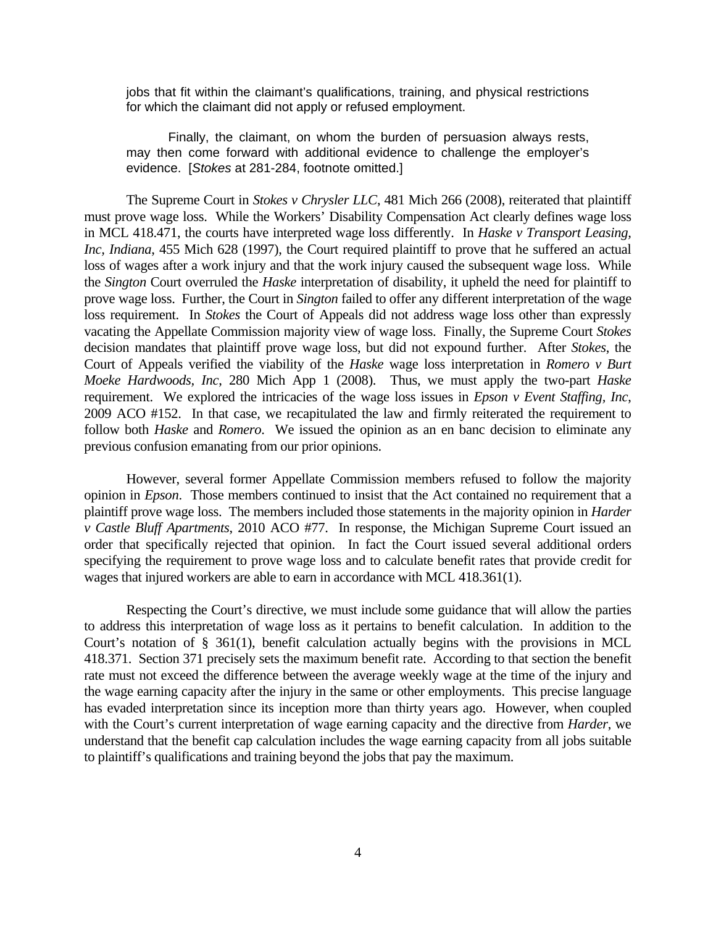jobs that fit within the claimant's qualifications, training, and physical restrictions for which the claimant did not apply or refused employment.

 Finally, the claimant, on whom the burden of persuasion always rests, may then come forward with additional evidence to challenge the employer's evidence. [*Stokes* at 281-284, footnote omitted.]

 The Supreme Court in *Stokes v Chrysler LLC*, 481 Mich 266 (2008), reiterated that plaintiff must prove wage loss. While the Workers' Disability Compensation Act clearly defines wage loss in MCL 418.471, the courts have interpreted wage loss differently. In *Haske v Transport Leasing, Inc, Indiana*, 455 Mich 628 (1997), the Court required plaintiff to prove that he suffered an actual loss of wages after a work injury and that the work injury caused the subsequent wage loss. While the *Sington* Court overruled the *Haske* interpretation of disability, it upheld the need for plaintiff to prove wage loss. Further, the Court in *Sington* failed to offer any different interpretation of the wage loss requirement. In *Stokes* the Court of Appeals did not address wage loss other than expressly vacating the Appellate Commission majority view of wage loss. Finally, the Supreme Court *Stokes* decision mandates that plaintiff prove wage loss, but did not expound further. After *Stokes*, the Court of Appeals verified the viability of the *Haske* wage loss interpretation in *Romero v Burt Moeke Hardwoods, Inc*, 280 Mich App 1 (2008). Thus, we must apply the two-part *Haske* requirement. We explored the intricacies of the wage loss issues in *Epson v Event Staffing, Inc*, 2009 ACO #152. In that case, we recapitulated the law and firmly reiterated the requirement to follow both *Haske* and *Romero*. We issued the opinion as an en banc decision to eliminate any previous confusion emanating from our prior opinions.

 However, several former Appellate Commission members refused to follow the majority opinion in *Epson*. Those members continued to insist that the Act contained no requirement that a plaintiff prove wage loss. The members included those statements in the majority opinion in *Harder v Castle Bluff Apartments*, 2010 ACO #77. In response, the Michigan Supreme Court issued an order that specifically rejected that opinion. In fact the Court issued several additional orders specifying the requirement to prove wage loss and to calculate benefit rates that provide credit for wages that injured workers are able to earn in accordance with MCL 418.361(1).

 Respecting the Court's directive, we must include some guidance that will allow the parties to address this interpretation of wage loss as it pertains to benefit calculation. In addition to the Court's notation of § 361(1), benefit calculation actually begins with the provisions in MCL 418.371. Section 371 precisely sets the maximum benefit rate. According to that section the benefit rate must not exceed the difference between the average weekly wage at the time of the injury and the wage earning capacity after the injury in the same or other employments. This precise language has evaded interpretation since its inception more than thirty years ago. However, when coupled with the Court's current interpretation of wage earning capacity and the directive from *Harder*, we understand that the benefit cap calculation includes the wage earning capacity from all jobs suitable to plaintiff's qualifications and training beyond the jobs that pay the maximum.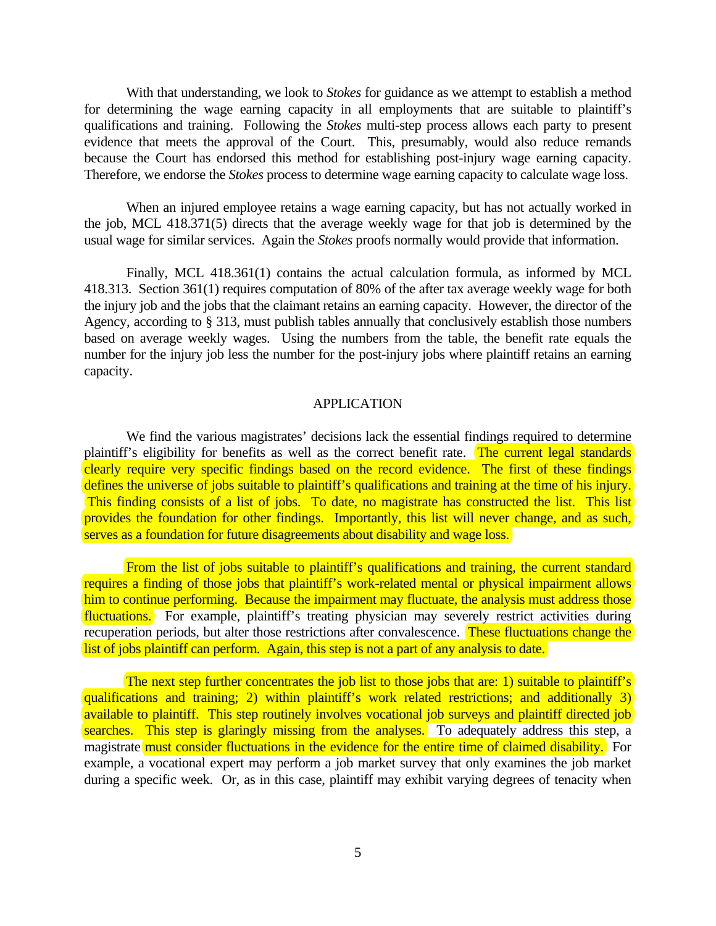With that understanding, we look to *Stokes* for guidance as we attempt to establish a method for determining the wage earning capacity in all employments that are suitable to plaintiff's qualifications and training. Following the *Stokes* multi-step process allows each party to present evidence that meets the approval of the Court. This, presumably, would also reduce remands because the Court has endorsed this method for establishing post-injury wage earning capacity. Therefore, we endorse the *Stokes* process to determine wage earning capacity to calculate wage loss.

 When an injured employee retains a wage earning capacity, but has not actually worked in the job, MCL 418.371(5) directs that the average weekly wage for that job is determined by the usual wage for similar services. Again the *Stokes* proofs normally would provide that information.

 Finally, MCL 418.361(1) contains the actual calculation formula, as informed by MCL 418.313. Section 361(1) requires computation of 80% of the after tax average weekly wage for both the injury job and the jobs that the claimant retains an earning capacity. However, the director of the Agency, according to § 313, must publish tables annually that conclusively establish those numbers based on average weekly wages. Using the numbers from the table, the benefit rate equals the number for the injury job less the number for the post-injury jobs where plaintiff retains an earning capacity.

## APPLICATION

 We find the various magistrates' decisions lack the essential findings required to determine plaintiff's eligibility for benefits as well as the correct benefit rate. The current legal standards clearly require very specific findings based on the record evidence. The first of these findings defines the universe of jobs suitable to plaintiff's qualifications and training at the time of his injury. This finding consists of a list of jobs. To date, no magistrate has constructed the list. This list provides the foundation for other findings. Importantly, this list will never change, and as such, serves as a foundation for future disagreements about disability and wage loss.

From the list of jobs suitable to plaintiff's qualifications and training, the current standard requires a finding of those jobs that plaintiff's work-related mental or physical impairment allows him to continue performing. Because the impairment may fluctuate, the analysis must address those fluctuations. For example, plaintiff's treating physician may severely restrict activities during recuperation periods, but alter those restrictions after convalescence. These fluctuations change the list of jobs plaintiff can perform. Again, this step is not a part of any analysis to date.

The next step further concentrates the job list to those jobs that are: 1) suitable to plaintiff's qualifications and training; 2) within plaintiff's work related restrictions; and additionally 3) available to plaintiff. This step routinely involves vocational job surveys and plaintiff directed job searches. This step is glaringly missing from the analyses. To adequately address this step, a magistrate must consider fluctuations in the evidence for the entire time of claimed disability. For example, a vocational expert may perform a job market survey that only examines the job market during a specific week. Or, as in this case, plaintiff may exhibit varying degrees of tenacity when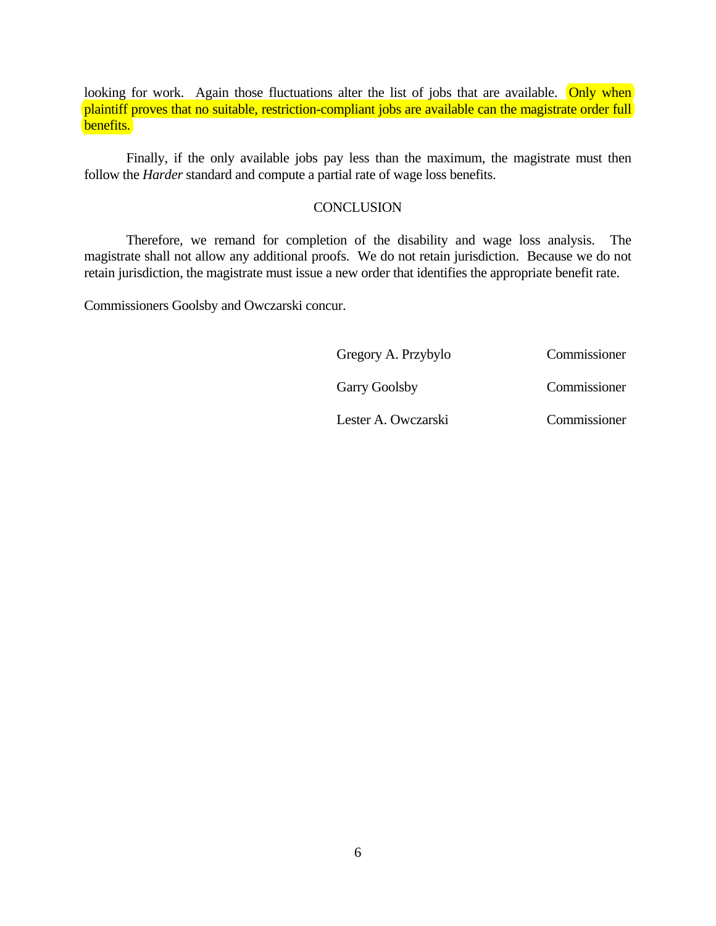looking for work. Again those fluctuations alter the list of jobs that are available. Only when plaintiff proves that no suitable, restriction-compliant jobs are available can the magistrate order full benefits.

 Finally, if the only available jobs pay less than the maximum, the magistrate must then follow the *Harder* standard and compute a partial rate of wage loss benefits.

## **CONCLUSION**

 Therefore, we remand for completion of the disability and wage loss analysis. The magistrate shall not allow any additional proofs. We do not retain jurisdiction. Because we do not retain jurisdiction, the magistrate must issue a new order that identifies the appropriate benefit rate.

Commissioners Goolsby and Owczarski concur.

| Gregory A. Przybylo  | Commissioner |
|----------------------|--------------|
| <b>Garry Goolsby</b> | Commissioner |

Lester A. Owczarski Commissioner